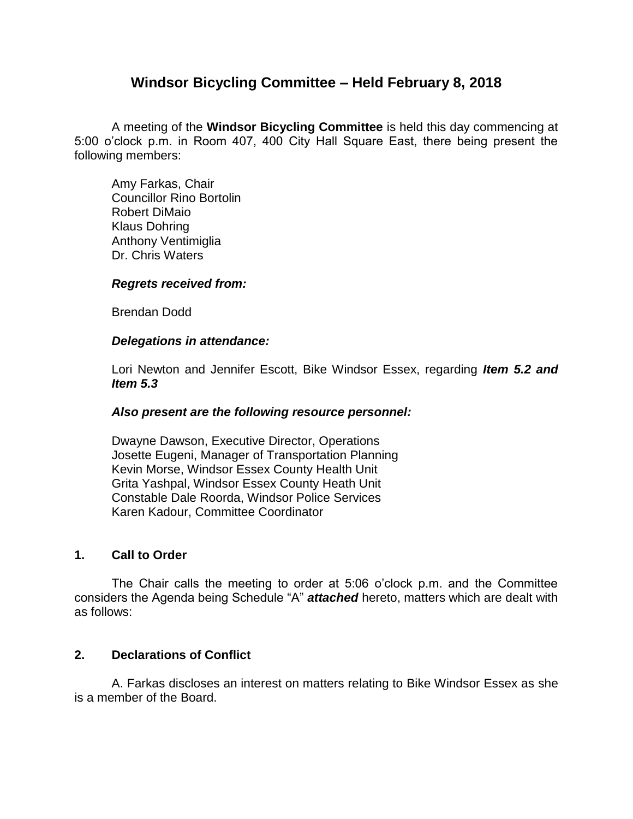# **Windsor Bicycling Committee – Held February 8, 2018**

A meeting of the **Windsor Bicycling Committee** is held this day commencing at 5:00 o'clock p.m. in Room 407, 400 City Hall Square East, there being present the following members:

Amy Farkas, Chair Councillor Rino Bortolin Robert DiMaio Klaus Dohring Anthony Ventimiglia Dr. Chris Waters

#### *Regrets received from:*

Brendan Dodd

#### *Delegations in attendance:*

Lori Newton and Jennifer Escott, Bike Windsor Essex, regarding *Item 5.2 and Item 5.3*

#### *Also present are the following resource personnel:*

Dwayne Dawson, Executive Director, Operations Josette Eugeni, Manager of Transportation Planning Kevin Morse, Windsor Essex County Health Unit Grita Yashpal, Windsor Essex County Heath Unit Constable Dale Roorda, Windsor Police Services Karen Kadour, Committee Coordinator

#### **1. Call to Order**

The Chair calls the meeting to order at 5:06 o'clock p.m. and the Committee considers the Agenda being Schedule "A" *attached* hereto, matters which are dealt with as follows:

#### **2. Declarations of Conflict**

A. Farkas discloses an interest on matters relating to Bike Windsor Essex as she is a member of the Board.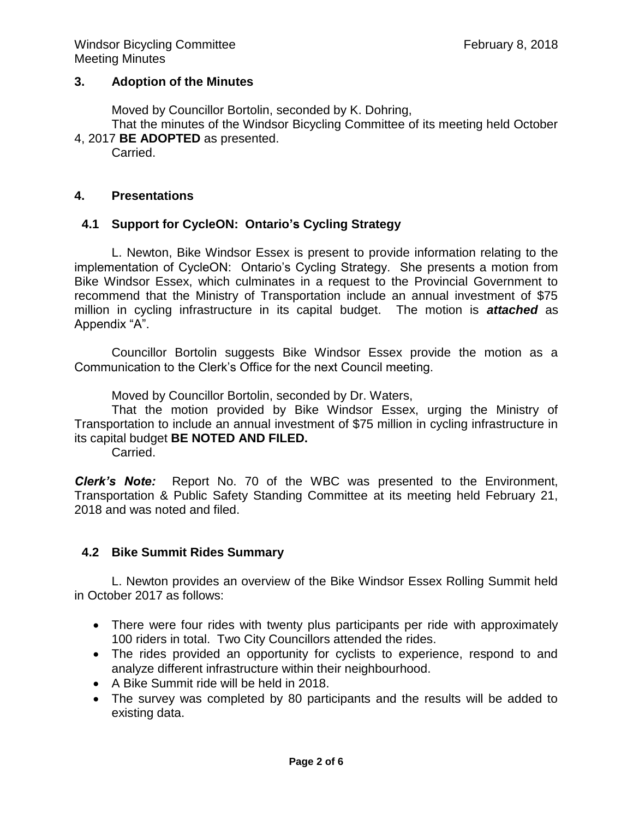### **3. Adoption of the Minutes**

Moved by Councillor Bortolin, seconded by K. Dohring,

That the minutes of the Windsor Bicycling Committee of its meeting held October 4, 2017 **BE ADOPTED** as presented.

Carried.

### **4. Presentations**

# **4.1 Support for CycleON: Ontario's Cycling Strategy**

L. Newton, Bike Windsor Essex is present to provide information relating to the implementation of CycleON: Ontario's Cycling Strategy. She presents a motion from Bike Windsor Essex, which culminates in a request to the Provincial Government to recommend that the Ministry of Transportation include an annual investment of \$75 million in cycling infrastructure in its capital budget. The motion is *attached* as Appendix "A".

Councillor Bortolin suggests Bike Windsor Essex provide the motion as a Communication to the Clerk's Office for the next Council meeting.

Moved by Councillor Bortolin, seconded by Dr. Waters,

That the motion provided by Bike Windsor Essex, urging the Ministry of Transportation to include an annual investment of \$75 million in cycling infrastructure in its capital budget **BE NOTED AND FILED.**

Carried.

*Clerk's Note:* Report No. 70 of the WBC was presented to the Environment, Transportation & Public Safety Standing Committee at its meeting held February 21, 2018 and was noted and filed.

# **4.2 Bike Summit Rides Summary**

L. Newton provides an overview of the Bike Windsor Essex Rolling Summit held in October 2017 as follows:

- There were four rides with twenty plus participants per ride with approximately 100 riders in total. Two City Councillors attended the rides.
- The rides provided an opportunity for cyclists to experience, respond to and analyze different infrastructure within their neighbourhood.
- A Bike Summit ride will be held in 2018.
- The survey was completed by 80 participants and the results will be added to existing data.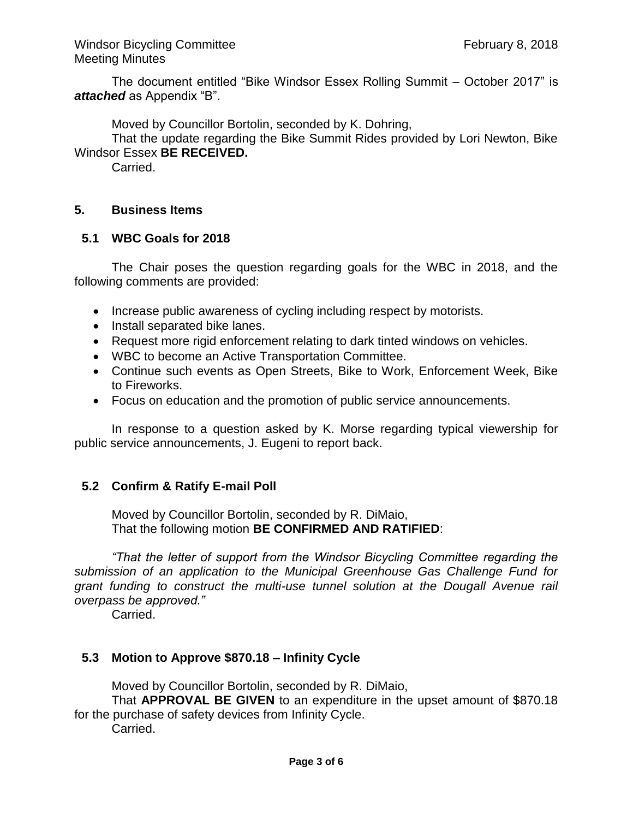The document entitled "Bike Windsor Essex Rolling Summit – October 2017" is *attached* as Appendix "B".

Moved by Councillor Bortolin, seconded by K. Dohring,

That the update regarding the Bike Summit Rides provided by Lori Newton, Bike Windsor Essex **BE RECEIVED.**

Carried.

### **5. Business Items**

### **5.1 WBC Goals for 2018**

The Chair poses the question regarding goals for the WBC in 2018, and the following comments are provided:

- Increase public awareness of cycling including respect by motorists.
- Install separated bike lanes.
- Request more rigid enforcement relating to dark tinted windows on vehicles.
- WBC to become an Active Transportation Committee.
- Continue such events as Open Streets, Bike to Work, Enforcement Week, Bike to Fireworks.
- Focus on education and the promotion of public service announcements.

In response to a question asked by K. Morse regarding typical viewership for public service announcements, J. Eugeni to report back.

# **5.2 Confirm & Ratify E-mail Poll**

Moved by Councillor Bortolin, seconded by R. DiMaio, That the following motion **BE CONFIRMED AND RATIFIED**:

*"That the letter of support from the Windsor Bicycling Committee regarding the submission of an application to the Municipal Greenhouse Gas Challenge Fund for grant funding to construct the multi-use tunnel solution at the Dougall Avenue rail overpass be approved."*

Carried.

# **5.3 Motion to Approve \$870.18 – Infinity Cycle**

Moved by Councillor Bortolin, seconded by R. DiMaio,

That **APPROVAL BE GIVEN** to an expenditure in the upset amount of \$870.18 for the purchase of safety devices from Infinity Cycle.

Carried.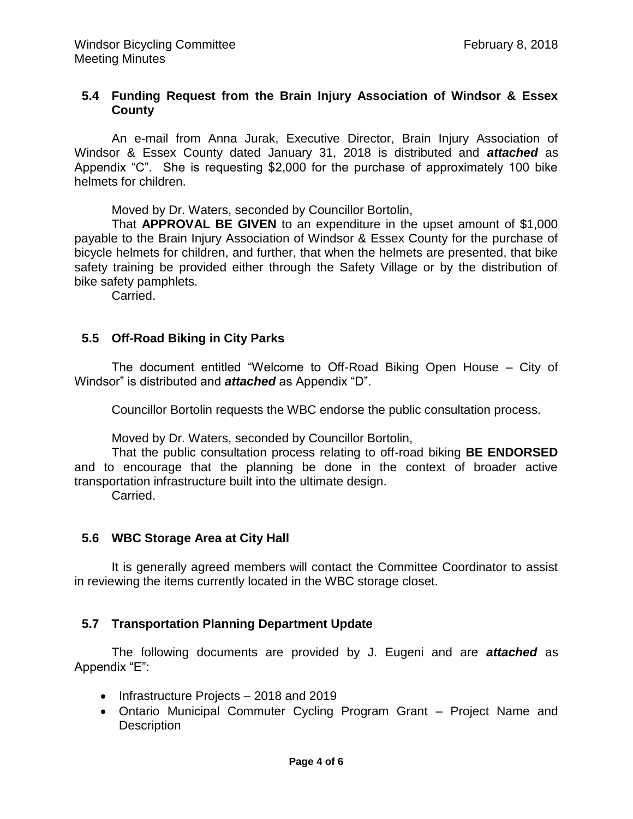### **5.4 Funding Request from the Brain Injury Association of Windsor & Essex County**

An e-mail from Anna Jurak, Executive Director, Brain Injury Association of Windsor & Essex County dated January 31, 2018 is distributed and *attached* as Appendix "C". She is requesting \$2,000 for the purchase of approximately 100 bike helmets for children.

Moved by Dr. Waters, seconded by Councillor Bortolin,

That **APPROVAL BE GIVEN** to an expenditure in the upset amount of \$1,000 payable to the Brain Injury Association of Windsor & Essex County for the purchase of bicycle helmets for children, and further, that when the helmets are presented, that bike safety training be provided either through the Safety Village or by the distribution of bike safety pamphlets.

Carried.

### **5.5 Off-Road Biking in City Parks**

The document entitled "Welcome to Off-Road Biking Open House – City of Windsor" is distributed and *attached* as Appendix "D".

Councillor Bortolin requests the WBC endorse the public consultation process.

Moved by Dr. Waters, seconded by Councillor Bortolin,

That the public consultation process relating to off-road biking **BE ENDORSED** and to encourage that the planning be done in the context of broader active transportation infrastructure built into the ultimate design.

Carried.

#### **5.6 WBC Storage Area at City Hall**

It is generally agreed members will contact the Committee Coordinator to assist in reviewing the items currently located in the WBC storage closet.

#### **5.7 Transportation Planning Department Update**

The following documents are provided by J. Eugeni and are *attached* as Appendix "E":

- Infrastructure Projects 2018 and 2019
- Ontario Municipal Commuter Cycling Program Grant Project Name and **Description**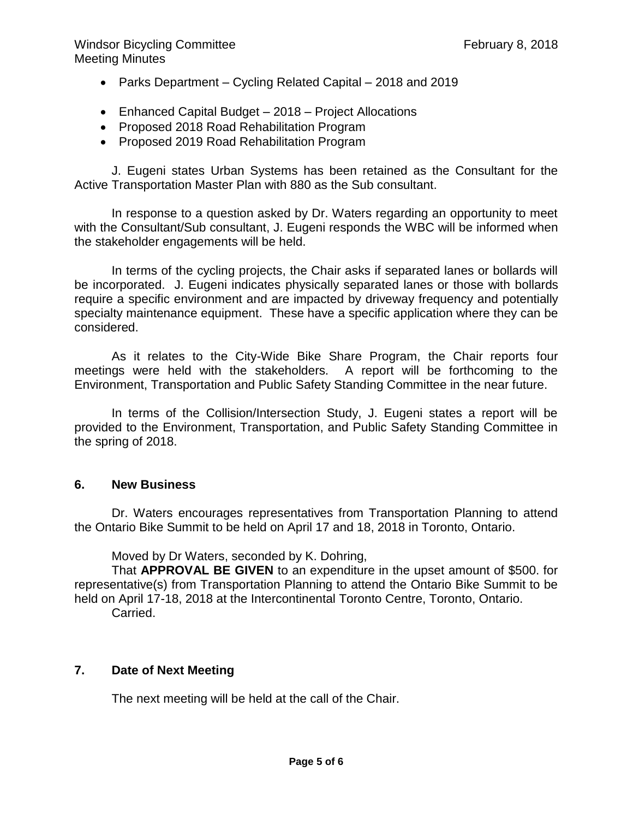Windsor Bicycling Committee **February 8, 2018** Meeting Minutes

- Parks Department Cycling Related Capital 2018 and 2019
- Enhanced Capital Budget 2018 Project Allocations
- Proposed 2018 Road Rehabilitation Program
- Proposed 2019 Road Rehabilitation Program

J. Eugeni states Urban Systems has been retained as the Consultant for the Active Transportation Master Plan with 880 as the Sub consultant.

In response to a question asked by Dr. Waters regarding an opportunity to meet with the Consultant/Sub consultant, J. Eugeni responds the WBC will be informed when the stakeholder engagements will be held.

In terms of the cycling projects, the Chair asks if separated lanes or bollards will be incorporated. J. Eugeni indicates physically separated lanes or those with bollards require a specific environment and are impacted by driveway frequency and potentially specialty maintenance equipment. These have a specific application where they can be considered.

As it relates to the City-Wide Bike Share Program, the Chair reports four meetings were held with the stakeholders. A report will be forthcoming to the Environment, Transportation and Public Safety Standing Committee in the near future.

In terms of the Collision/Intersection Study, J. Eugeni states a report will be provided to the Environment, Transportation, and Public Safety Standing Committee in the spring of 2018.

# **6. New Business**

Dr. Waters encourages representatives from Transportation Planning to attend the Ontario Bike Summit to be held on April 17 and 18, 2018 in Toronto, Ontario.

Moved by Dr Waters, seconded by K. Dohring,

That **APPROVAL BE GIVEN** to an expenditure in the upset amount of \$500. for representative(s) from Transportation Planning to attend the Ontario Bike Summit to be held on April 17-18, 2018 at the Intercontinental Toronto Centre, Toronto, Ontario.

Carried.

# **7. Date of Next Meeting**

The next meeting will be held at the call of the Chair.